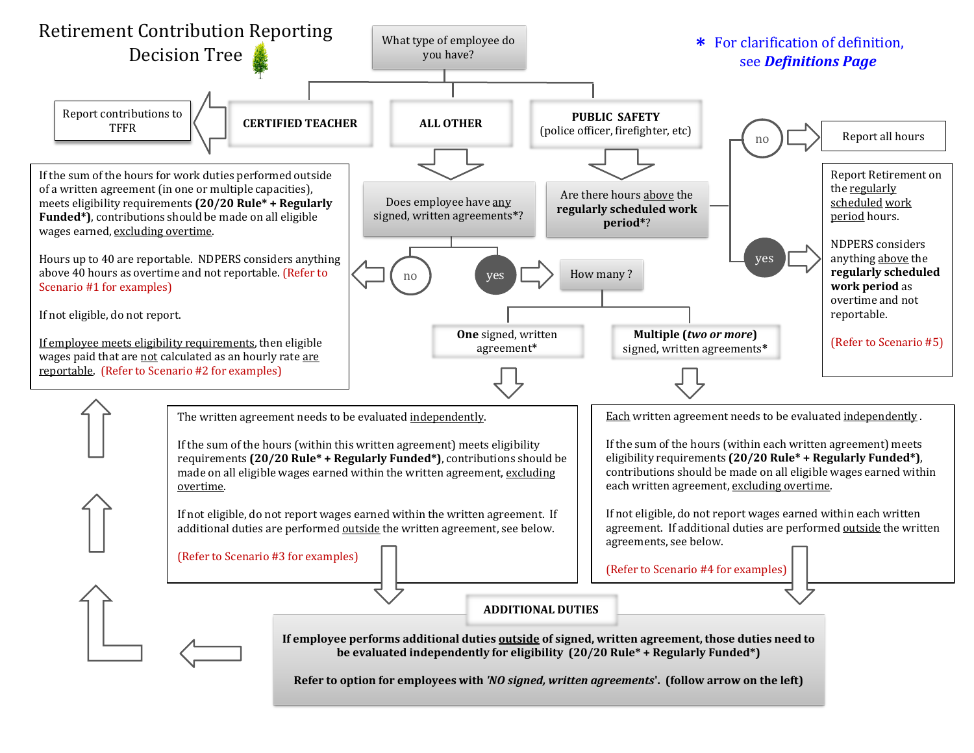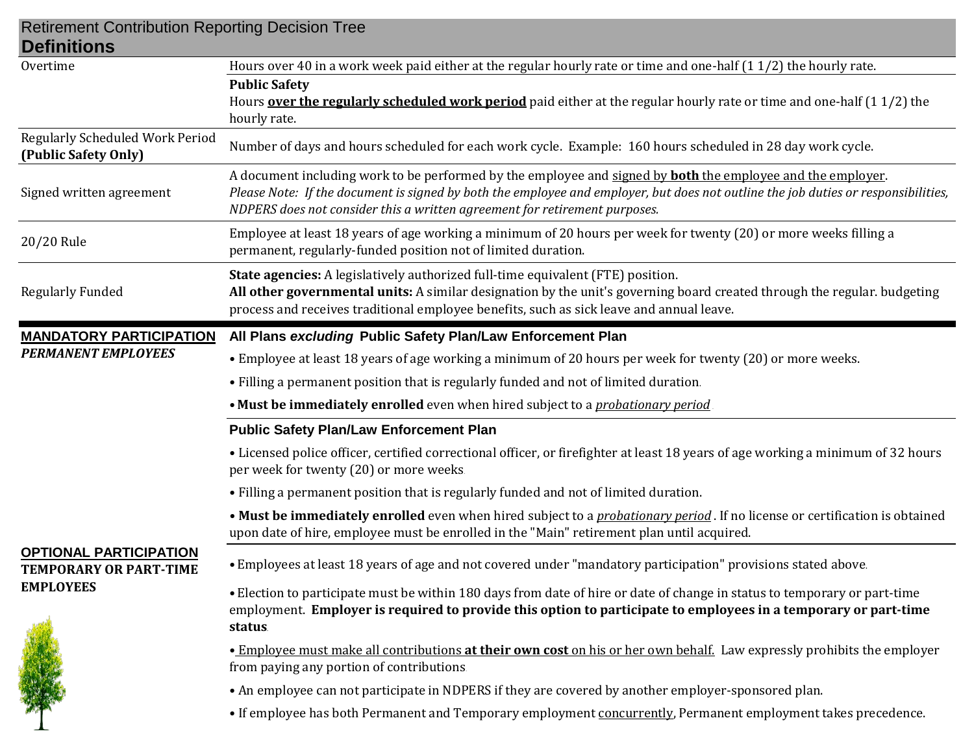| <b>Retirement Contribution Reporting Decision Tree</b><br><b>Definitions</b>       |                                                                                                                                                                                                                                                                                                                                        |  |  |
|------------------------------------------------------------------------------------|----------------------------------------------------------------------------------------------------------------------------------------------------------------------------------------------------------------------------------------------------------------------------------------------------------------------------------------|--|--|
| Overtime                                                                           | Hours over 40 in a work week paid either at the regular hourly rate or time and one-half $(1\ 1/2)$ the hourly rate.                                                                                                                                                                                                                   |  |  |
|                                                                                    | <b>Public Safety</b><br>Hours <b>over the regularly scheduled work period</b> paid either at the regular hourly rate or time and one-half (11/2) the<br>hourly rate.                                                                                                                                                                   |  |  |
| <b>Regularly Scheduled Work Period</b><br>(Public Safety Only)                     | Number of days and hours scheduled for each work cycle. Example: 160 hours scheduled in 28 day work cycle.                                                                                                                                                                                                                             |  |  |
| Signed written agreement                                                           | A document including work to be performed by the employee and signed by <b>both</b> the employee and the employer.<br>Please Note: If the document is signed by both the employee and employer, but does not outline the job duties or responsibilities,<br>NDPERS does not consider this a written agreement for retirement purposes. |  |  |
| 20/20 Rule                                                                         | Employee at least 18 years of age working a minimum of 20 hours per week for twenty (20) or more weeks filling a<br>permanent, regularly-funded position not of limited duration.                                                                                                                                                      |  |  |
| <b>Regularly Funded</b>                                                            | State agencies: A legislatively authorized full-time equivalent (FTE) position.<br>All other governmental units: A similar designation by the unit's governing board created through the regular. budgeting<br>process and receives traditional employee benefits, such as sick leave and annual leave.                                |  |  |
| <b>MANDATORY PARTICIPATION</b><br><b>PERMANENT EMPLOYEES</b>                       | All Plans excluding Public Safety Plan/Law Enforcement Plan                                                                                                                                                                                                                                                                            |  |  |
|                                                                                    | • Employee at least 18 years of age working a minimum of 20 hours per week for twenty (20) or more weeks.                                                                                                                                                                                                                              |  |  |
|                                                                                    | • Filling a permanent position that is regularly funded and not of limited duration.                                                                                                                                                                                                                                                   |  |  |
|                                                                                    | • Must be immediately enrolled even when hired subject to a <i>probationary period</i>                                                                                                                                                                                                                                                 |  |  |
| <b>OPTIONAL PARTICIPATION</b><br><b>TEMPORARY OR PART-TIME</b><br><b>EMPLOYEES</b> | <b>Public Safety Plan/Law Enforcement Plan</b>                                                                                                                                                                                                                                                                                         |  |  |
|                                                                                    | • Licensed police officer, certified correctional officer, or firefighter at least 18 years of age working a minimum of 32 hours<br>per week for twenty (20) or more weeks.                                                                                                                                                            |  |  |
|                                                                                    | • Filling a permanent position that is regularly funded and not of limited duration.                                                                                                                                                                                                                                                   |  |  |
|                                                                                    | • Must be immediately enrolled even when hired subject to a <i>probationary period</i> . If no license or certification is obtained<br>upon date of hire, employee must be enrolled in the "Main" retirement plan until acquired.                                                                                                      |  |  |
|                                                                                    | • Employees at least 18 years of age and not covered under "mandatory participation" provisions stated above.                                                                                                                                                                                                                          |  |  |
|                                                                                    | • Election to participate must be within 180 days from date of hire or date of change in status to temporary or part-time<br>employment. Employer is required to provide this option to participate to employees in a temporary or part-time<br>status.                                                                                |  |  |
|                                                                                    | • Employee must make all contributions at their own cost on his or her own behalf. Law expressly prohibits the employer<br>from paying any portion of contributions.                                                                                                                                                                   |  |  |
|                                                                                    | • An employee can not participate in NDPERS if they are covered by another employer-sponsored plan.                                                                                                                                                                                                                                    |  |  |
|                                                                                    | • If employee has both Permanent and Temporary employment concurrently, Permanent employment takes precedence.                                                                                                                                                                                                                         |  |  |